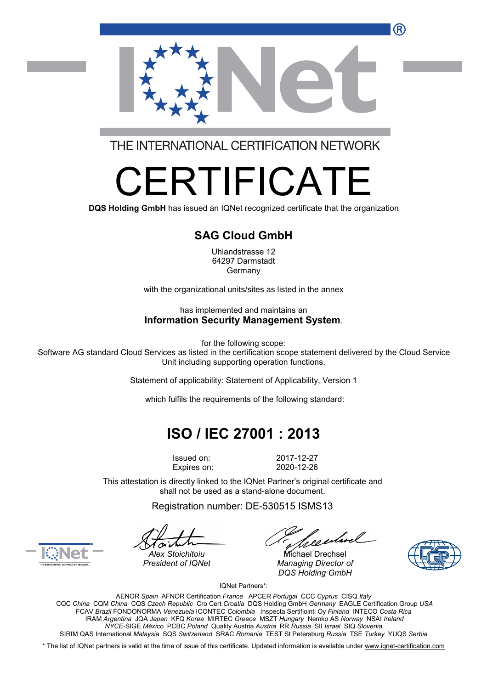

THE INTERNATIONAL CERTIFICATION NETWORK

# FRTIFICA

**DQS Holding GmbH** has issued an IQNet recognized certificate that the organization

#### **SAG Cloud GmbH**

Uhlandstrasse 12 64297 Darmstadt Germany

with the organizational units/sites as listed in the annex

has implemented and maintains an **Information Security Management System**.

for the following scope:

Software AG standard Cloud Services as listed in the certification scope statement delivered by the Cloud Service Unit including supporting operation functions.

Statement of applicability: Statement of Applicability, Version 1

which fulfils the requirements of the following standard:

# **ISO / IEC 27001 : 2013**

Issued on: 2017-12-27

Expires on: 2020-12-26

This attestation is directly linked to the IQNet Partner's original certificate and shall not be used as a stand-alone document.

Registration number: DE-530515 ISMS13

reentmel

*Alex Stoichitoiu* Michael Drechsel *President of IQNet Managing Director of DQS Holding GmbH*





IQNet Partners\*:

AENOR *Spain* AFNOR Certification *France* APCER *Portugal* CCC *Cyprus* CISQ *Italy* CQC *China* CQM *China* CQS *Czech Republic* Cro Cert *Croatia* DQS Holding GmbH *Germany* EAGLE Certification Group *USA* FCAV *Brazil* FONDONORMA *Venezuela* ICONTEC *Colombia* Inspecta Sertifiointi Oy *Finland* INTECO *Costa Rica* IRAM *Argentina* JQA *Japan* KFQ *Korea* MIRTEC *Greece* MSZT *Hungary* Nemko AS *Norway* NSAI *Ireland NYCE-*SIGE *México* PCBC *Poland* Quality Austria *Austria* RR *Russia* SII *Israel* SIQ *Slovenia* SIRIM QAS International *Malaysia* SQS *Switzerland* SRAC *Romania* TEST St Petersburg *Russia* TSE *Turkey* YUQS *Serbia*

\* The list of IQNet partners is valid at the time of issue of this certificate. Updated information is available under www.ignet-certification.com